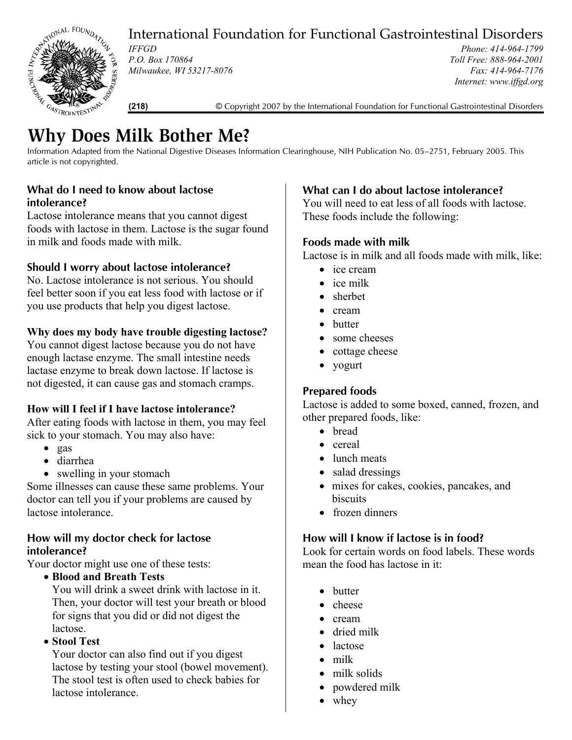STIONAL FOUNDAY

International Foundation for Functional Gastrointestinal Disorders

*Phone: 414-964-1799 Toll Free: 888-964-2001 Fax: 414-964-7176 Internet: www.iffgd.org*

**(218)** © Copyright 2007 by the International Foundation for Functional Gastrointestinal Disorders

# **Why Does Milk Bother Me?**

*IFFGD* 

*P.O. Box 170864* 

*Milwaukee, WI 53217-8076* 

Information Adapted from the National Digestive Diseases Information Clearinghouse, NIH Publication No. 05–2751, February 2005. This article is not copyrighted.

# **What do I need to know about lactose intolerance?**

Lactose intolerance means that you cannot digest foods with lactose in them. Lactose is the sugar found in milk and foods made with milk.

## **Should I worry about lactose intolerance?**

No. Lactose intolerance is not serious. You should feel better soon if you eat less food with lactose or if you use products that help you digest lactose.

## **Why does my body have trouble digesting lactose?**

You cannot digest lactose because you do not have enough lactase enzyme. The small intestine needs lactase enzyme to break down lactose. If lactose is not digested, it can cause gas and stomach cramps.

#### **How will I feel if I have lactose intolerance?**

After eating foods with lactose in them, you may feel sick to your stomach. You may also have:

- gas
- diarrhea
- swelling in your stomach

Some illnesses can cause these same problems. Your doctor can tell you if your problems are caused by lactose intolerance.

#### **How will my doctor check for lactose intolerance?**

Your doctor might use one of these tests:

• **Blood and Breath Tests**

You will drink a sweet drink with lactose in it. Then, your doctor will test your breath or blood for signs that you did or did not digest the lactose.

• **Stool Test**

Your doctor can also find out if you digest lactose by testing your stool (bowel movement). The stool test is often used to check babies for lactose intolerance.

# **What can I do about lactose intolerance?**

You will need to eat less of all foods with lactose. These foods include the following:

# **Foods made with milk**

Lactose is in milk and all foods made with milk, like:

- ice cream
- ice milk
- sherbet
- cream
- butter
- some cheeses
- cottage cheese
- yogurt

## **Prepared foods**

Lactose is added to some boxed, canned, frozen, and other prepared foods, like:

- bread
- cereal
- lunch meats
- salad dressings
- mixes for cakes, cookies, pancakes, and biscuits
- frozen dinners

#### **How will I know if lactose is in food?**

Look for certain words on food labels. These words mean the food has lactose in it:

- butter
- cheese
- cream
- dried milk
- lactose
- milk
- milk solids
- powdered milk
- whey